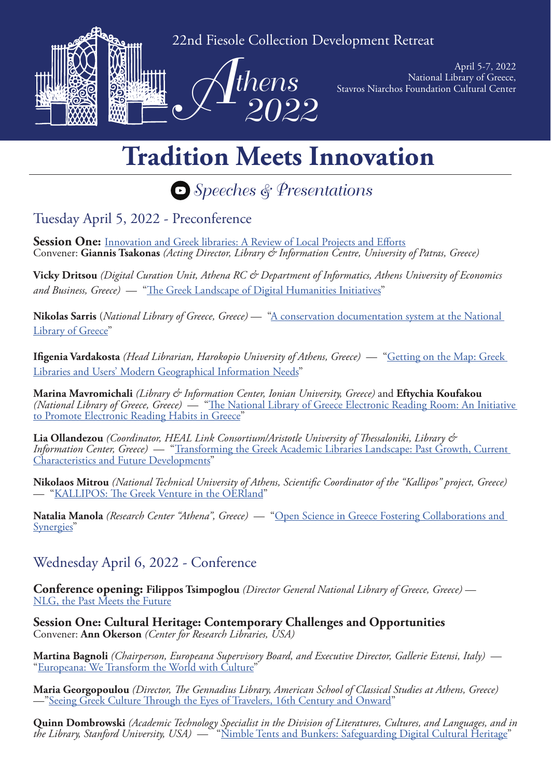



April 5-7, 2022 National Library of Greece, Stavros Niarchos Foundation Cultural Center

# **Tradition Meets Innovation**

*Speeches & Presentations*

Tuesday April 5, 2022 - Preconference

**Session One:** [Innovation and Greek libraries: A Review of Local Projects and Efforts](https://youtu.be/rOBIeRdcIWs
) Convener: **Giannis Tsakonas** *(Acting Director, Library & Information Centre, University of Patras, Greece)*

**Vicky Dritsou** *(Digital Curation Unit, Athena RC & Department of Informatics, Athens University of Economics and Business, Greece)* — ["The Greek Landscape of Digital Humanities Initiatives"](https://youtu.be/YViAk77Vfoc)

**Nikolas Sarris** (*National Library of Greece, Greece)* — ["A conservation documentation system at the National](https://youtu.be/moSWMUpen38)  [Library of Greece"](https://youtu.be/moSWMUpen38)

**Ifigenia Vardakosta** *(Head Librarian, Harokopio University of Athens, Greece)* — "[Getting on the Map: Greek](https://youtu.be/nOONTfX6I6U)  [Libraries and Users' Modern Geographical Information Needs"](https://youtu.be/nOONTfX6I6U)

**Marina Mavromichali** *(Library & Information Center, Ionian University, Greece)* and **Eftychia Koufakou** *(National Library of Greece, Greece)* — "[The National Library of Greece Electronic Reading Room: An Initiative](https://youtu.be/fb3HSOK_K9o)  [to Promote Electronic Reading Habits in Greece"](https://youtu.be/fb3HSOK_K9o)

**Lia Ollandezou** *(Coordinator, HEAL Link Consortium/Aristotle University of Thessaloniki, Library & Information Center, Greece*) — "Transforming the Greek Academic Libraries Landscape: Past Growth, Current [Characteristics and Future Developments](https://youtu.be/kD1y_Wm0cGY)"

**Nikolaos Mitrou** *(National Technical University of Athens, Scientific Coordinator of the "Kallipos" project, Greece)*  — "[KALLIPOS: The Greek Venture in the OERland"](https://youtu.be/rw2bi6Kbxeo)

**Natalia Manola** *(Research Center "Athena", Greece)* — ["Open Science in Greece Fostering Collaborations and](https://youtu.be/zk16Rgm77pw)  [Synergies"](https://youtu.be/zk16Rgm77pw)

## Wednesday April 6, 2022 - Conference

**Conference opening: Filippos Tsimpoglou** *(Director General National Library of Greece, Greece)* — [NLG, the Past Meets the Future](https://youtu.be/X5rTnldIQaE)

**Session One: Cultural Heritage: Contemporary Challenges and Opportunities** Convener: **Ann Okerson** *(Center for Research Libraries, USA)*

**Martina Bagnoli** *(Chairperson, Europeana Supervisory Board, and Executive Director, Gallerie Estensi, Italy)* — "[Europeana: We Transform the World with Culture](https://youtu.be/hqHpK1ye-q4)"

**Maria Georgopoulou** *(Director, The Gennadius Library, American School of Classical Studies at Athens, Greece)* —"[Seeing Greek Culture Through the Eyes of Travelers, 16th Century and Onward"](https://youtu.be/mkt13ZvOz2M)

**Quinn Dombrowski** *(Academic Technology Specialist in the Division of Literatures, Cultures, and Languages, and in the Library, Stanford University, USA)* — "[Nimble Tents and Bunkers: Safeguarding Digital Cultural Heritage"](https://youtu.be/woOwXva0Yfs)